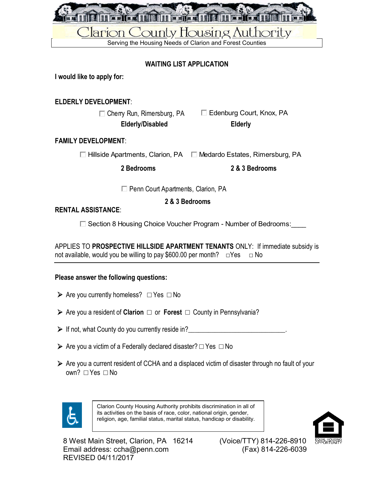

# **WAITING LIST APPLICATION**

**I would like to apply for:** 

# **ELDERLY DEVELOPMENT**:

□ Cherry Run, Rimersburg, PA □ Edenburg Court, Knox, PA<br>Elderly/Disabled **Elderly Elderly/Disabled Elderly**

# **FAMILY DEVELOPMENT**:

 $\Box$  Hillside Apartments, Clarion, PA  $\Box$  Medardo Estates, Rimersburg, PA

**2 Bedrooms 2 & 3 Bedrooms**

**Penn Court Apartments, Clarion, PA** 

**2 & 3 Bedrooms**

# **RENTAL ASSISTANCE**:

□ Section 8 Housing Choice Voucher Program - Number of Bedrooms:

APPLIES TO **PROSPECTIVE HILLSIDE APARTMENT TENANTS** ONLY: If immediate subsidy is not available, would you be willing to pay \$600.00 per month?  $\square$  Yes  $\square$  No

### **Please answer the following questions:**

- Are you currently homeless? □ Yes □ No
- Are you a resident of **Clarion** □ or **Forest** □ County in Pennsylvania?
- If not, what County do you currently reside in?
- $\triangleright$  Are you a victim of a Federally declared disaster?  $\Box$  Yes  $\Box$  No
- $\triangleright$  Are you a current resident of CCHA and a displaced victim of disaster through no fault of your own? □ Yes □ No



Clarion County Housing Authority prohibits discrimination in all of its activities on the basis of race, color, national origin, gender, religion, age, familial status, marital status, handicap or disability.

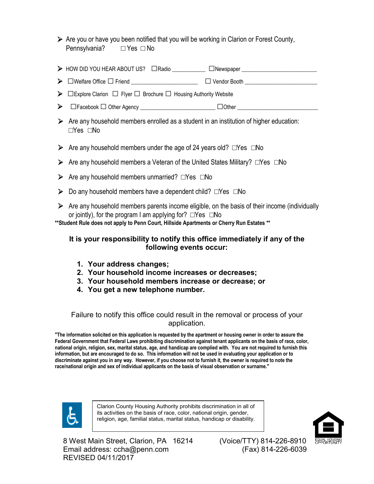- $\triangleright$  Are you or have you been notified that you will be working in Clarion or Forest County, Pennsylvania? □ Yes □ No
- > HOW DID YOU HEAR ABOUT US? □Radio **\_\_\_\_\_\_\_\_\_\_\_\_\_\_\_\_** □Newspaper
- □Welfare Office □Friend \_\_\_\_\_\_\_\_\_\_\_\_\_\_\_\_\_\_\_\_\_\_\_\_ □Vendor Booth \_\_\_\_\_\_\_\_\_\_\_\_\_\_\_\_\_\_\_\_\_\_\_\_\_\_
- □Explore Clarion □ Flyer□ Brochure □ Housing Authority Website
- □Facebook □ Other Agency \_\_\_\_\_\_\_\_\_\_\_\_\_\_\_\_\_\_\_\_\_\_\_\_\_\_\_ □Other \_\_\_\_\_\_\_\_\_\_\_\_\_\_\_\_\_\_\_\_\_\_\_\_\_\_\_\_\_
- $\triangleright$  Are any household members enrolled as a student in an institution of higher education: □Yes □No
- Are any household members under the age of 24 years old?  $\square$ Yes  $\square$ No
- Are any household members a Veteran of the United States Military? □Yes □No
- Are any household members unmarried? □Yes □No
- Do any household members have a dependent child? □Yes □No
- $\triangleright$  Are any household members parents income eligible, on the basis of their income (individually or jointly), for the program I am applying for? □Yes □No

**\*\*Student Rule does not apply to Penn Court, Hillside Apartments or Cherry Run Estates \*\***

### **It is your responsibility to notify this office immediately if any of the following events occur:**

- **1. Your address changes;**
- **2. Your household income increases or decreases;**
- **3. Your household members increase or decrease; or**
- **4. You get a new telephone number.**

# Failure to notify this office could result in the removal or process of your application.

**"The information solicited on this application is requested by the apartment or housing owner in order to assure the Federal Government that Federal Laws prohibiting discrimination against tenant applicants on the basis of race, color, national origin, religion, sex, marital status, age, and handicap are complied with. You are not required to furnish this information, but are encouraged to do so. This information will not be used in evaluating your application or to discriminate against you in any way. However, if you choose not to furnish it, the owner is required to note the race/national origin and sex of individual applicants on the basis of visual observation or surname."**



Clarion County Housing Authority prohibits discrimination in all of its activities on the basis of race, color, national origin, gender, religion, age, familial status, marital status, handicap or disability.

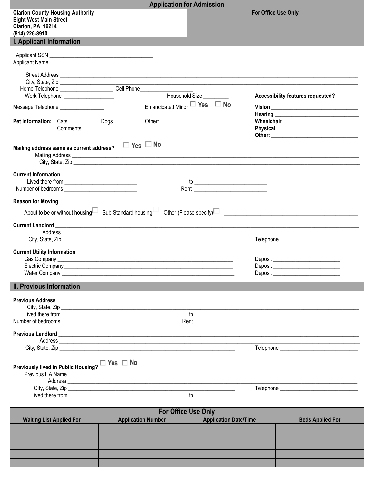|                                                                                                                 | <b>Application for Admission</b>       |                                   |
|-----------------------------------------------------------------------------------------------------------------|----------------------------------------|-----------------------------------|
| <b>Clarion County Housing Authority</b><br><b>Eight West Main Street</b><br>Clarion, PA 16214<br>(814) 226-8910 |                                        | For Office Use Only               |
| <b>I. Applicant Information</b>                                                                                 |                                        |                                   |
| Applicant Name                                                                                                  |                                        |                                   |
| Home Telephone ______________________________Cell Phone_________________________                                |                                        |                                   |
| Work Telephone _____________________                                                                            | Household Size                         | Accessibility features requested? |
| Message Telephone _________________                                                                             | Emancipated Minor $\Box$ Yes $\Box$ No |                                   |
| Pet Information: Cats ________ Dogs _______ Other: ___________                                                  |                                        |                                   |
| $\Box$ Yes $\Box$ No<br>Mailing address same as current address?                                                |                                        |                                   |
| <b>Current Information</b>                                                                                      |                                        |                                   |
| <b>Reason for Moving</b>                                                                                        |                                        |                                   |
|                                                                                                                 |                                        |                                   |
|                                                                                                                 |                                        |                                   |
| <b>Current Utility Information</b>                                                                              |                                        |                                   |
|                                                                                                                 |                                        |                                   |
|                                                                                                                 |                                        | Deposit                           |
| Water Company                                                                                                   |                                        |                                   |
| <b>II. Previous Information</b>                                                                                 |                                        |                                   |
|                                                                                                                 |                                        |                                   |
|                                                                                                                 |                                        |                                   |
|                                                                                                                 |                                        |                                   |
|                                                                                                                 |                                        |                                   |
|                                                                                                                 |                                        |                                   |
| Previously lived in Public Housing? $\square$ Yes $\square$ No                                                  |                                        |                                   |
|                                                                                                                 |                                        |                                   |
| Lived there from _______________________________                                                                |                                        |                                   |
|                                                                                                                 |                                        |                                   |
|                                                                                                                 | <b>For Office Use Only</b>             |                                   |

| <b>TUI UIIILE USE UIIIV</b>     |                           |                              |                         |  |  |  |
|---------------------------------|---------------------------|------------------------------|-------------------------|--|--|--|
| <b>Waiting List Applied For</b> | <b>Application Number</b> | <b>Application Date/Time</b> | <b>Beds Applied For</b> |  |  |  |
|                                 |                           |                              |                         |  |  |  |
|                                 |                           |                              |                         |  |  |  |
|                                 |                           |                              |                         |  |  |  |
|                                 |                           |                              |                         |  |  |  |
|                                 |                           |                              |                         |  |  |  |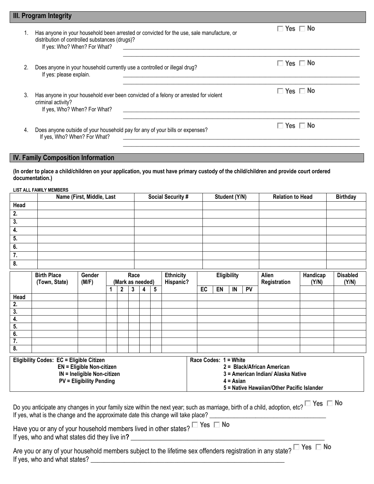|                  | III. Program Integrity                                                                                                                                                              |                                                                                                                                                                                                                              |               |                         |                 |  |  |
|------------------|-------------------------------------------------------------------------------------------------------------------------------------------------------------------------------------|------------------------------------------------------------------------------------------------------------------------------------------------------------------------------------------------------------------------------|---------------|-------------------------|-----------------|--|--|
| 1.               | Has anyone in your household been arrested or convicted for the use, sale manufacture, or<br>distribution of controlled substances (drugs)?<br>If yes: Who? When? For What?         | <u> 1989 - Johann Barn, amerikan bernama di sebagai bernama di sebagai bernama di sebagai bernama di sebagai bern</u>                                                                                                        |               | $\Box$ Yes $\Box$ No    |                 |  |  |
| 2.               | Does anyone in your household currently use a controlled or illegal drug?<br>If yes: please explain.                                                                                | $\Box$ Yes $\Box$ No                                                                                                                                                                                                         |               |                         |                 |  |  |
| 3.               | criminal activity?<br>If yes, Who? When? For What?                                                                                                                                  | $\Box$ Yes $\Box$ No<br>Has anyone in your household ever been convicted of a felony or arrested for violent                                                                                                                 |               |                         |                 |  |  |
| 4.               | If yes, Who? When? For What?                                                                                                                                                        | $\Box$ Yes $\Box$ No<br>Does anyone outside of your household pay for any of your bills or expenses?<br><u> 1989 - Johann John Stone, markin sanat masjid ayyı bir alan bir alan bir alan bir alan bir alan bir alan bir</u> |               |                         |                 |  |  |
|                  | <b>IV. Family Composition Information</b><br>(In order to place a child/children on your application, you must have primary custody of the child/children and provide court ordered |                                                                                                                                                                                                                              |               |                         |                 |  |  |
|                  | documentation.)                                                                                                                                                                     |                                                                                                                                                                                                                              |               |                         |                 |  |  |
|                  | <b>LIST ALL FAMILY MEMBERS</b><br>Name (First, Middle, Last                                                                                                                         | <b>Social Security #</b>                                                                                                                                                                                                     | Student (Y/N) | <b>Relation to Head</b> | <b>Birthday</b> |  |  |
| Head             |                                                                                                                                                                                     |                                                                                                                                                                                                                              |               |                         |                 |  |  |
| $\overline{2}$ . |                                                                                                                                                                                     |                                                                                                                                                                                                                              |               |                         |                 |  |  |
| $\overline{3}$ . |                                                                                                                                                                                     |                                                                                                                                                                                                                              |               |                         |                 |  |  |
| 4.               |                                                                                                                                                                                     |                                                                                                                                                                                                                              |               |                         |                 |  |  |
| 5.               |                                                                                                                                                                                     |                                                                                                                                                                                                                              |               |                         |                 |  |  |
| 6.               |                                                                                                                                                                                     |                                                                                                                                                                                                                              |               |                         |                 |  |  |

| $\overline{\mathbf{8}}$ . |                                                 |                 |                  |      |   |   |                               |                       |             |    |                                            |  |                          |  |
|---------------------------|-------------------------------------------------|-----------------|------------------|------|---|---|-------------------------------|-----------------------|-------------|----|--------------------------------------------|--|--------------------------|--|
|                           | <b>Birth Place</b><br>(Town, State)             | Gender<br>(M/F) | (Mark as needed) | Race |   |   | <b>Ethnicity</b><br>Hispanic? |                       | Eligibility |    | Alien<br>Handicap<br>Registration<br>(Y/N) |  | <b>Disabled</b><br>(Y/N) |  |
|                           |                                                 |                 | 2                | 3    | 4 | 5 |                               | EC                    | EN          | IN | <b>PV</b>                                  |  |                          |  |
| Head                      |                                                 |                 |                  |      |   |   |                               |                       |             |    |                                            |  |                          |  |
| 2.                        |                                                 |                 |                  |      |   |   |                               |                       |             |    |                                            |  |                          |  |
| 3.                        |                                                 |                 |                  |      |   |   |                               |                       |             |    |                                            |  |                          |  |
| 4.                        |                                                 |                 |                  |      |   |   |                               |                       |             |    |                                            |  |                          |  |
| 5.                        |                                                 |                 |                  |      |   |   |                               |                       |             |    |                                            |  |                          |  |
| 6.                        |                                                 |                 |                  |      |   |   |                               |                       |             |    |                                            |  |                          |  |
| $\overline{7}$ .          |                                                 |                 |                  |      |   |   |                               |                       |             |    |                                            |  |                          |  |
| 8.                        |                                                 |                 |                  |      |   |   |                               |                       |             |    |                                            |  |                          |  |
|                           | <b>Eligibility Codes: EC = Eligible Citizen</b> |                 |                  |      |   |   |                               | Race Codes: 1 = White |             |    |                                            |  |                          |  |

| $L1$ gibility Obdes. LO – Liigibie Oluzen | $\mu$                                      |
|-------------------------------------------|--------------------------------------------|
| EN = Eligible Non-citizen                 | 2 = Black/African American                 |
| $IN = Ineligible Non-citizen$             | 3 = American Indian/ Alaska Native         |
| <b>PV = Eligibility Pending</b>           | $4 = Asian$                                |
|                                           | 5 = Native Hawaiian/Other Pacific Islander |
|                                           |                                            |

Do you anticipate any changes in your family size within the next year; such as marriage, birth of a child, adoption, etc? **Yes No** If yes, what is the change and the approximate date this change will take place? **\_\_\_\_\_\_\_\_\_\_\_\_\_\_\_\_\_\_\_\_\_\_\_\_\_\_\_\_\_\_** 

Have you or any of your household members lived in other states?  $\square$  Yes  $\square$  No If yes, who and what states did they live in**? \_\_\_\_\_\_\_\_\_\_\_\_\_\_\_\_\_\_\_\_\_\_\_\_\_\_\_\_\_\_\_\_\_\_\_\_\_\_\_\_\_\_\_\_\_\_\_\_\_\_\_\_\_\_\_\_\_\_**

**7.**

Are you or any of your household members subject to the lifetime sex offenders registration in any state? **Yes No** If yes, who and what states? **\_\_\_\_\_\_\_\_\_\_\_\_\_\_\_\_\_\_\_\_\_\_\_\_\_\_\_\_\_\_\_\_\_\_\_\_\_\_\_\_\_\_\_\_\_\_\_\_\_\_\_\_\_\_\_\_\_\_**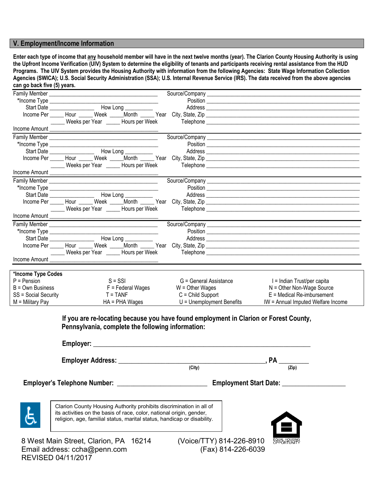#### **V. Employment/Income Information**

**Enter each type of income that any household member will have in the next twelve months (year). The Clarion County Housing Authority is using the Upfront Income Verification (UIV) System to determine the eligibility of tenants and participants receiving rental assistance from the HUD Programs. The UIV System provides the Housing Authority with information from the following Agencies: State Wage Information Collection Agencies (SWICA); U.S. Social Security Administration (SSA); U.S. Internal Revenue Service (IRS). The data received from the above agencies can go back five (5) years.**

|                      |                                                   |                                                                                       | Address experiences and the second contract of the second contract of the second contract of the second contract of the second contract of the second contract of the second contract of the second contract of the second con |
|----------------------|---------------------------------------------------|---------------------------------------------------------------------------------------|--------------------------------------------------------------------------------------------------------------------------------------------------------------------------------------------------------------------------------|
|                      |                                                   |                                                                                       |                                                                                                                                                                                                                                |
|                      |                                                   |                                                                                       |                                                                                                                                                                                                                                |
|                      |                                                   |                                                                                       |                                                                                                                                                                                                                                |
|                      |                                                   |                                                                                       |                                                                                                                                                                                                                                |
|                      |                                                   |                                                                                       | Position Position Position Provided and Contract Contract of the Contract Contract Contract Contract Contract Contract Contract Contract Contract Contract Contract Contract Contract Contract Contract Contract Contract Cont |
|                      |                                                   |                                                                                       |                                                                                                                                                                                                                                |
|                      |                                                   |                                                                                       |                                                                                                                                                                                                                                |
|                      |                                                   |                                                                                       |                                                                                                                                                                                                                                |
|                      |                                                   |                                                                                       |                                                                                                                                                                                                                                |
|                      |                                                   |                                                                                       |                                                                                                                                                                                                                                |
|                      |                                                   |                                                                                       |                                                                                                                                                                                                                                |
|                      |                                                   |                                                                                       | Address experiences and the contract of the contract of the contract of the contract of the contract of the contract of the contract of the contract of the contract of the contract of the contract of the contract of the co |
|                      |                                                   |                                                                                       |                                                                                                                                                                                                                                |
|                      |                                                   |                                                                                       |                                                                                                                                                                                                                                |
|                      |                                                   |                                                                                       |                                                                                                                                                                                                                                |
|                      |                                                   |                                                                                       |                                                                                                                                                                                                                                |
|                      |                                                   |                                                                                       |                                                                                                                                                                                                                                |
|                      |                                                   |                                                                                       |                                                                                                                                                                                                                                |
|                      |                                                   |                                                                                       | Income Per Hour Hour Week Month Pear City, State, Zip Network Contract Contract City, State, Zip                                                                                                                               |
|                      |                                                   |                                                                                       |                                                                                                                                                                                                                                |
|                      |                                                   |                                                                                       |                                                                                                                                                                                                                                |
|                      |                                                   |                                                                                       |                                                                                                                                                                                                                                |
| *Income Type Codes   |                                                   |                                                                                       |                                                                                                                                                                                                                                |
| $P =$ Pension        | $S = SSI$                                         | G = General Assistance                                                                | I = Indian Trust/per capita                                                                                                                                                                                                    |
| $B = Own$ Business   | $F = Federal Wages$                               | $W =$ Other Wages                                                                     | $N =$ Other Non-Wage Source                                                                                                                                                                                                    |
| SS = Social Security | $T = TANF$                                        | $C =$ Child Support                                                                   | $E =$ Medical Re-imbursement                                                                                                                                                                                                   |
| $M =$ Military Pay   | $HA = PHA Wages$                                  | $U =$ Unemployment Benefits                                                           | IW = Annual Imputed Welfare Income                                                                                                                                                                                             |
|                      | Pennsylvania, complete the following information: | If you are re-locating because you have found employment in Clarion or Forest County, |                                                                                                                                                                                                                                |
|                      |                                                   |                                                                                       |                                                                                                                                                                                                                                |

| <b>Employer Address:</b> |        |       |  |
|--------------------------|--------|-------|--|
|                          | (City) | (Zip) |  |

 **Employer's Telephone Number: \_\_\_\_\_\_\_\_\_\_\_\_\_\_\_\_\_\_\_\_\_\_\_\_\_\_\_ Employment Start Date: \_\_\_\_\_\_\_\_\_\_\_\_\_\_\_\_\_\_\_**



Clarion County Housing Authority prohibits discrimination in all of its activities on the basis of race, color, national origin, gender, religion, age, familial status, marital status, handicap or disability.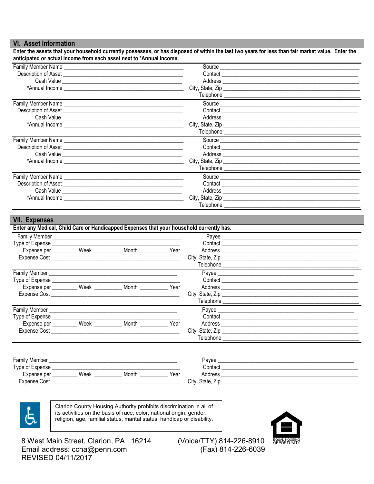#### **VI. Asset Information**

Enter the assets that your household currently possesses, or has disposed of within the last two years for less than fair market value. Enter the anticipated or actual income from each asset next to \*Annual Income.

| Family Member Name |                  |  |
|--------------------|------------------|--|
|                    |                  |  |
|                    |                  |  |
|                    |                  |  |
|                    |                  |  |
|                    |                  |  |
|                    |                  |  |
|                    |                  |  |
|                    |                  |  |
|                    |                  |  |
|                    |                  |  |
|                    |                  |  |
|                    |                  |  |
|                    |                  |  |
|                    | City, State, Zip |  |
|                    |                  |  |
| Family Member Name |                  |  |
|                    |                  |  |
|                    |                  |  |
|                    |                  |  |

# **VII. Expenses**

| Family Member <b>Example 20</b> Family Member                                                                                                                                                                                 |              |      | Payee _______________                             |  |
|-------------------------------------------------------------------------------------------------------------------------------------------------------------------------------------------------------------------------------|--------------|------|---------------------------------------------------|--|
| Type of Expense                                                                                                                                                                                                               |              |      |                                                   |  |
| Expense per __________ Week ____                                                                                                                                                                                              | <b>Month</b> | Year |                                                   |  |
|                                                                                                                                                                                                                               |              |      |                                                   |  |
|                                                                                                                                                                                                                               |              |      | Telephone <u>________________________________</u> |  |
| Family Member <b>Example 20</b>                                                                                                                                                                                               |              |      |                                                   |  |
| Type of Expense ______________                                                                                                                                                                                                |              |      |                                                   |  |
| Expense per __________ Week ________                                                                                                                                                                                          | Month        | Year |                                                   |  |
| Expense Cost and the contract of the contract of the contract of the contract of the contract of the contract of the contract of the contract of the contract of the contract of the contract of the contract of the contract |              |      |                                                   |  |
|                                                                                                                                                                                                                               |              |      |                                                   |  |
| Family Member <b>Example 20</b> Family Member                                                                                                                                                                                 |              |      |                                                   |  |
| Type of Expense ______________                                                                                                                                                                                                |              |      |                                                   |  |
| Expense per __________ Week _                                                                                                                                                                                                 | Month        | Year |                                                   |  |
| Expense Cost <b>Expense</b> Cost                                                                                                                                                                                              |              |      |                                                   |  |
|                                                                                                                                                                                                                               |              |      | <b>Telephone Example 20</b>                       |  |

| <b>Family Member</b> |      |       |      | Pavee                            |  |
|----------------------|------|-------|------|----------------------------------|--|
| Type of Expense      |      |       |      | Contact                          |  |
| Expense per          | Week | Month | Year | Address                          |  |
| Expense Cost         |      |       |      | $- \cdot$<br>City.<br>State, Zip |  |



Clarion County Housing Authority prohibits discrimination in all of its activities on the basis of race, color, national origin, gender, religion, age, familial status, marital status, handicap or disability.

8 West Main Street, Clarion, PA 16214 Email address: ccha@penn.com REVISED 04/11/2017

(Voice/TTY) 814-226-8910 (Fax) 814-226-6039

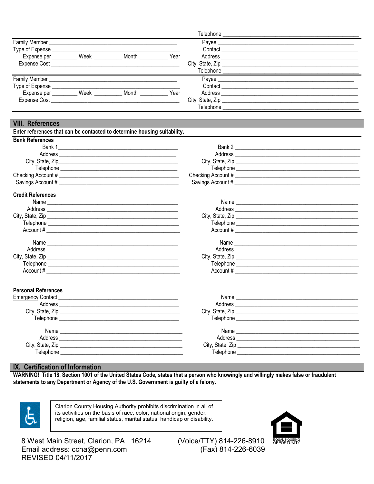|                     |      |       |      | Telephone        |  |
|---------------------|------|-------|------|------------------|--|
| Family Member_      |      |       |      | Payee            |  |
| Type of Expense     |      |       |      | Contact          |  |
| Expense per         | Week | Month | Year | Address          |  |
| <b>Expense Cost</b> |      |       |      | City, State, Zip |  |
|                     |      |       |      | Telephone        |  |
| Family Member       |      |       |      | Payee            |  |
| Type of Expense     |      |       |      | Contact          |  |
| Expense per         | Week | Month | Year | Address          |  |
| <b>Expense Cost</b> |      |       |      | City, State, Zip |  |
|                     |      |       |      | Telephone        |  |

### **VIII. References**

| Enter references that can be contacted to determine housing suitability. |                                     |  |
|--------------------------------------------------------------------------|-------------------------------------|--|
| <b>Bank References</b>                                                   |                                     |  |
|                                                                          |                                     |  |
|                                                                          |                                     |  |
|                                                                          |                                     |  |
|                                                                          |                                     |  |
|                                                                          |                                     |  |
|                                                                          |                                     |  |
| <b>Credit References</b>                                                 |                                     |  |
|                                                                          |                                     |  |
|                                                                          |                                     |  |
|                                                                          |                                     |  |
|                                                                          | Telephone _________________________ |  |
| Account#                                                                 | Account #                           |  |

| Name             |  |
|------------------|--|
| Address          |  |
| City, State, Zip |  |
| Telephone        |  |
| Account $#$      |  |

| Name         |                                 |
|--------------|---------------------------------|
| Address ____ |                                 |
|              | City, State, Zip                |
|              | Telephone _____________________ |
| Account #    |                                 |
|              |                                 |
| Name         |                                 |
| Address ____ |                                 |
| 0.41.0111.71 |                                 |

| City, State, Zip |  |
|------------------|--|
| Telephone        |  |
| Account #        |  |
|                  |  |

### **Personal References**

| <b>Emergency Contact</b>                                 | Name                                                                                                                             |                                                                                                                      |
|----------------------------------------------------------|----------------------------------------------------------------------------------------------------------------------------------|----------------------------------------------------------------------------------------------------------------------|
| Address<br><u> 1980 - Jan Samuel Barbara, margaret e</u> | Address<br><u> 1986 - Jan Barbara, politik eta politik eta politik eta politik eta politik eta politik eta politik eta polit</u> |                                                                                                                      |
|                                                          |                                                                                                                                  |                                                                                                                      |
| Telephone                                                | Telephone                                                                                                                        | <u> 1980 - Jan Barbara, martin amerikan basar dan berasal dalam basa dalam basar dalam basar dalam basa dalam ba</u> |
|                                                          |                                                                                                                                  |                                                                                                                      |
| Address                                                  | Address                                                                                                                          |                                                                                                                      |
|                                                          | City, State, Zip                                                                                                                 |                                                                                                                      |
| Telephone                                                | Telephone                                                                                                                        |                                                                                                                      |

#### IX. Certification of Information

WARNING! Title 18, Section 1001 of the United States Code, states that a person who knowingly and willingly makes false or fraudulent statements to any Department or Agency of the U.S. Government is guilty of a felony.



Clarion County Housing Authority prohibits discrimination in all of its activities on the basis of race, color, national origin, gender, religion, age, familial status, marital status, handicap or disability.



8 West Main Street, Clarion, PA 16214 Email address: ccha@penn.com REVISED 04/11/2017

(Voice/TTY) 814-226-8910 (Fax) 814-226-6039